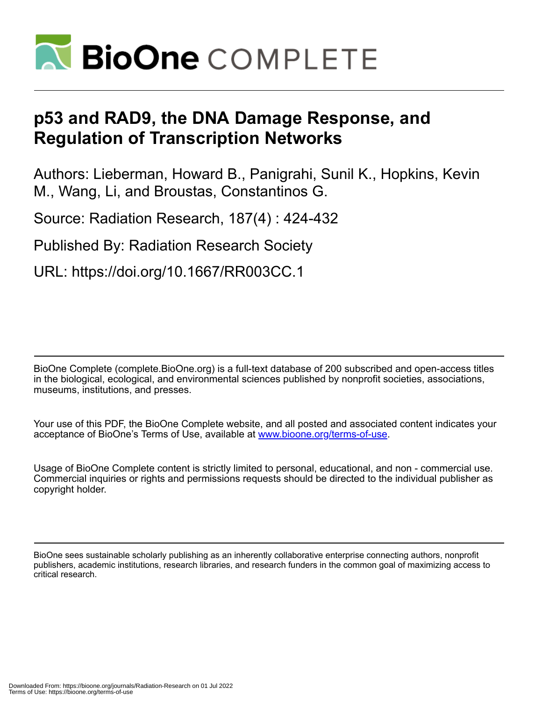

# **p53 and RAD9, the DNA Damage Response, and Regulation of Transcription Networks**

Authors: Lieberman, Howard B., Panigrahi, Sunil K., Hopkins, Kevin M., Wang, Li, and Broustas, Constantinos G.

Source: Radiation Research, 187(4) : 424-432

Published By: Radiation Research Society

URL: https://doi.org/10.1667/RR003CC.1

BioOne Complete (complete.BioOne.org) is a full-text database of 200 subscribed and open-access titles in the biological, ecological, and environmental sciences published by nonprofit societies, associations, museums, institutions, and presses.

Your use of this PDF, the BioOne Complete website, and all posted and associated content indicates your acceptance of BioOne's Terms of Use, available at www.bioone.org/terms-of-use.

Usage of BioOne Complete content is strictly limited to personal, educational, and non - commercial use. Commercial inquiries or rights and permissions requests should be directed to the individual publisher as copyright holder.

BioOne sees sustainable scholarly publishing as an inherently collaborative enterprise connecting authors, nonprofit publishers, academic institutions, research libraries, and research funders in the common goal of maximizing access to critical research.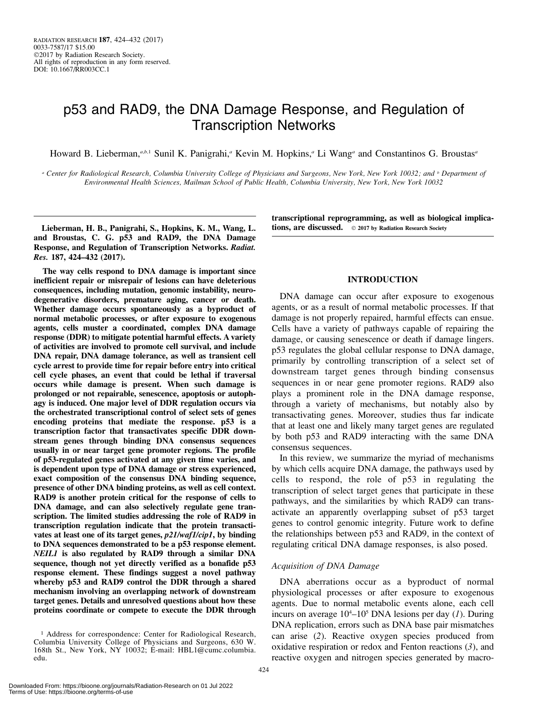## p53 and RAD9, the DNA Damage Response, and Regulation of Transcription Networks

Howard B. Lieberman,<sup>a,b,1</sup> Sunil K. Panigrahi,<sup>a</sup> Kevin M. Hopkins,<sup>a</sup> Li Wang<sup>a</sup> and Constantinos G. Broustas<sup>a</sup>

<sup>a</sup> Center for Radiological Research, Columbia University College of Physicians and Surgeons, New York, New York 10032; and <sup>b</sup> Department of Environmental Health Sciences, Mailman School of Public Health, Columbia University, New York, New York 10032

Lieberman, H. B., Panigrahi, S., Hopkins, K. M., Wang, L. and Broustas, C. G. p53 and RAD9, the DNA Damage Response, and Regulation of Transcription Networks. Radiat. Res. 187, 424–432 (2017).

The way cells respond to DNA damage is important since inefficient repair or misrepair of lesions can have deleterious consequences, including mutation, genomic instability, neurodegenerative disorders, premature aging, cancer or death. Whether damage occurs spontaneously as a byproduct of normal metabolic processes, or after exposure to exogenous agents, cells muster a coordinated, complex DNA damage response (DDR) to mitigate potential harmful effects. A variety of activities are involved to promote cell survival, and include DNA repair, DNA damage tolerance, as well as transient cell cycle arrest to provide time for repair before entry into critical cell cycle phases, an event that could be lethal if traversal occurs while damage is present. When such damage is prolonged or not repairable, senescence, apoptosis or autophagy is induced. One major level of DDR regulation occurs via the orchestrated transcriptional control of select sets of genes encoding proteins that mediate the response. p53 is a transcription factor that transactivates specific DDR downstream genes through binding DNA consensus sequences usually in or near target gene promoter regions. The profile of p53-regulated genes activated at any given time varies, and is dependent upon type of DNA damage or stress experienced, exact composition of the consensus DNA binding sequence, presence of other DNA binding proteins, as well as cell context. RAD9 is another protein critical for the response of cells to DNA damage, and can also selectively regulate gene transcription. The limited studies addressing the role of RAD9 in transcription regulation indicate that the protein transactivates at least one of its target genes, p21/waf1/cip1, by binding to DNA sequences demonstrated to be a p53 response element. NEIL1 is also regulated by RAD9 through a similar DNA sequence, though not yet directly verified as a bonafide p53 response element. These findings suggest a novel pathway whereby p53 and RAD9 control the DDR through a shared mechanism involving an overlapping network of downstream target genes. Details and unresolved questions about how these proteins coordinate or compete to execute the DDR through

transcriptional reprogramming, as well as biological implications, are discussed.  $\circ$  2017 by Radiation Research Society

#### INTRODUCTION

DNA damage can occur after exposure to exogenous agents, or as a result of normal metabolic processes. If that damage is not properly repaired, harmful effects can ensue. Cells have a variety of pathways capable of repairing the damage, or causing senescence or death if damage lingers. p53 regulates the global cellular response to DNA damage, primarily by controlling transcription of a select set of downstream target genes through binding consensus sequences in or near gene promoter regions. RAD9 also plays a prominent role in the DNA damage response, through a variety of mechanisms, but notably also by transactivating genes. Moreover, studies thus far indicate that at least one and likely many target genes are regulated by both p53 and RAD9 interacting with the same DNA consensus sequences.

In this review, we summarize the myriad of mechanisms by which cells acquire DNA damage, the pathways used by cells to respond, the role of p53 in regulating the transcription of select target genes that participate in these pathways, and the similarities by which RAD9 can transactivate an apparently overlapping subset of p53 target genes to control genomic integrity. Future work to define the relationships between p53 and RAD9, in the context of regulating critical DNA damage responses, is also posed.

#### Acquisition of DNA Damage

DNA aberrations occur as a byproduct of normal physiological processes or after exposure to exogenous agents. Due to normal metabolic events alone, each cell incurs on average  $10^4$ – $10^5$  DNA lesions per day (1). During DNA replication, errors such as DNA base pair mismatches can arise (2). Reactive oxygen species produced from oxidative respiration or redox and Fenton reactions  $(3)$ , and reactive oxygen and nitrogen species generated by macro-

<sup>1</sup> Address for correspondence: Center for Radiological Research, Columbia University College of Physicians and Surgeons, 630 W. 168th St., New York, NY 10032; E-mail: HBL1@cumc.columbia. edu.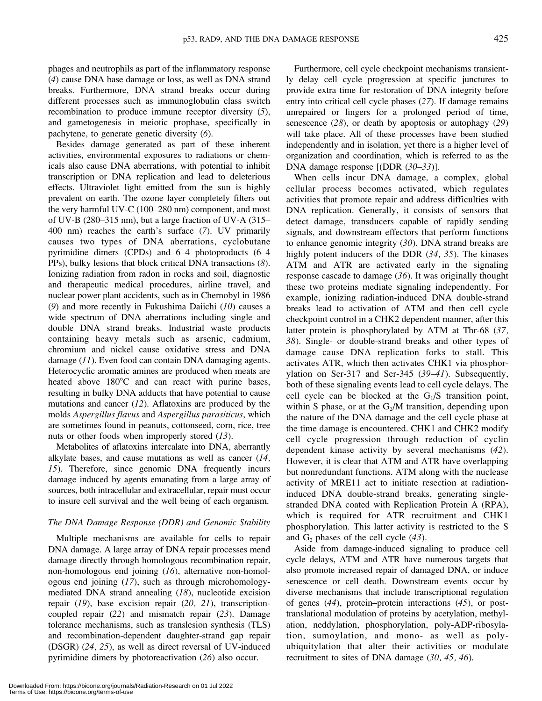phages and neutrophils as part of the inflammatory response (4) cause DNA base damage or loss, as well as DNA strand breaks. Furthermore, DNA strand breaks occur during different processes such as immunoglobulin class switch recombination to produce immune receptor diversity (5), and gametogenesis in meiotic prophase, specifically in pachytene, to generate genetic diversity (6).

Besides damage generated as part of these inherent activities, environmental exposures to radiations or chemicals also cause DNA aberrations, with potential to inhibit transcription or DNA replication and lead to deleterious effects. Ultraviolet light emitted from the sun is highly prevalent on earth. The ozone layer completely filters out the very harmful UV-C (100–280 nm) component, and most of UV-B (280–315 nm), but a large fraction of UV-A (315– 400 nm) reaches the earth's surface (7). UV primarily causes two types of DNA aberrations, cyclobutane pyrimidine dimers (CPDs) and 6–4 photoproducts (6–4 PPs), bulky lesions that block critical DNA transactions (8). Ionizing radiation from radon in rocks and soil, diagnostic and therapeutic medical procedures, airline travel, and nuclear power plant accidents, such as in Chernobyl in 1986 (9) and more recently in Fukushima Daiichi  $(10)$  causes a wide spectrum of DNA aberrations including single and double DNA strand breaks. Industrial waste products containing heavy metals such as arsenic, cadmium, chromium and nickel cause oxidative stress and DNA damage (11). Even food can contain DNA damaging agents. Heterocyclic aromatic amines are produced when meats are heated above  $180^{\circ}$ C and can react with purine bases, resulting in bulky DNA adducts that have potential to cause mutations and cancer  $(12)$ . Aflatoxins are produced by the molds Aspergillus flavus and Aspergillus parasiticus, which are sometimes found in peanuts, cottonseed, corn, rice, tree nuts or other foods when improperly stored  $(13)$ .

Metabolites of aflatoxins intercalate into DNA, aberrantly alkylate bases, and cause mutations as well as cancer (14, 15). Therefore, since genomic DNA frequently incurs damage induced by agents emanating from a large array of sources, both intracellular and extracellular, repair must occur to insure cell survival and the well being of each organism.

#### The DNA Damage Response (DDR) and Genomic Stability

Multiple mechanisms are available for cells to repair DNA damage. A large array of DNA repair processes mend damage directly through homologous recombination repair, non-homologous end joining (16), alternative non-homologous end joining (17), such as through microhomologymediated DNA strand annealing (18), nucleotide excision repair (19), base excision repair (20, 21), transcriptioncoupled repair (22) and mismatch repair (23). Damage tolerance mechanisms, such as translesion synthesis (TLS) and recombination-dependent daughter-strand gap repair (DSGR) (24, 25), as well as direct reversal of UV-induced pyrimidine dimers by photoreactivation (26) also occur.

Furthermore, cell cycle checkpoint mechanisms transiently delay cell cycle progression at specific junctures to provide extra time for restoration of DNA integrity before entry into critical cell cycle phases (27). If damage remains unrepaired or lingers for a prolonged period of time, senescence  $(28)$ , or death by apoptosis or autophagy  $(29)$ will take place. All of these processes have been studied independently and in isolation, yet there is a higher level of organization and coordination, which is referred to as the DNA damage response [(DDR (30–33)].

When cells incur DNA damage, a complex, global cellular process becomes activated, which regulates activities that promote repair and address difficulties with DNA replication. Generally, it consists of sensors that detect damage, transducers capable of rapidly sending signals, and downstream effectors that perform functions to enhance genomic integrity (30). DNA strand breaks are highly potent inducers of the DDR (34, 35). The kinases ATM and ATR are activated early in the signaling response cascade to damage (36). It was originally thought these two proteins mediate signaling independently. For example, ionizing radiation-induced DNA double-strand breaks lead to activation of ATM and then cell cycle checkpoint control in a CHK2 dependent manner, after this latter protein is phosphorylated by ATM at Thr-68 (37, 38). Single- or double-strand breaks and other types of damage cause DNA replication forks to stall. This activates ATR, which then activates CHK1 via phosphorylation on Ser-317 and Ser-345 (39–41). Subsequently, both of these signaling events lead to cell cycle delays. The cell cycle can be blocked at the  $G_1/S$  transition point, within S phase, or at the  $G_2/M$  transition, depending upon the nature of the DNA damage and the cell cycle phase at the time damage is encountered. CHK1 and CHK2 modify cell cycle progression through reduction of cyclin dependent kinase activity by several mechanisms (42). However, it is clear that ATM and ATR have overlapping but nonredundant functions. ATM along with the nuclease activity of MRE11 act to initiate resection at radiationinduced DNA double-strand breaks, generating singlestranded DNA coated with Replication Protein A (RPA), which is required for ATR recruitment and CHK1 phosphorylation. This latter activity is restricted to the S and  $G_2$  phases of the cell cycle (43).

Aside from damage-induced signaling to produce cell cycle delays, ATM and ATR have numerous targets that also promote increased repair of damaged DNA, or induce senescence or cell death. Downstream events occur by diverse mechanisms that include transcriptional regulation of genes (44), protein–protein interactions (45), or posttranslational modulation of proteins by acetylation, methylation, neddylation, phosphorylation, poly-ADP-ribosylation, sumoylation, and mono- as well as polyubiquitylation that alter their activities or modulate recruitment to sites of DNA damage (30, 45, 46).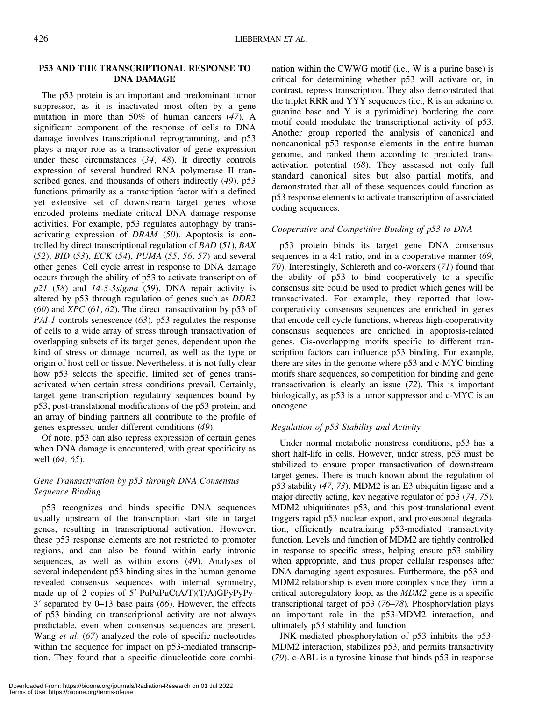## P53 AND THE TRANSCRIPTIONAL RESPONSE TO DNA DAMAGE

The p53 protein is an important and predominant tumor suppressor, as it is inactivated most often by a gene mutation in more than 50% of human cancers (47). A significant component of the response of cells to DNA damage involves transcriptional reprogramming, and p53 plays a major role as a transactivator of gene expression under these circumstances (34, 48). It directly controls expression of several hundred RNA polymerase II transcribed genes, and thousands of others indirectly (49). p53 functions primarily as a transcription factor with a defined yet extensive set of downstream target genes whose encoded proteins mediate critical DNA damage response activities. For example, p53 regulates autophagy by transactivating expression of DRAM (50). Apoptosis is controlled by direct transcriptional regulation of BAD (51), BAX (52), BID (53), ECK (54), PUMA (55, 56, 57) and several other genes. Cell cycle arrest in response to DNA damage occurs through the ability of p53 to activate transcription of  $p21$  (58) and 14-3-3sigma (59). DNA repair activity is altered by p53 through regulation of genes such as DDB2  $(60)$  and *XPC*  $(61, 62)$ . The direct transactivation by p53 of PAI-1 controls senescence (63). p53 regulates the response of cells to a wide array of stress through transactivation of overlapping subsets of its target genes, dependent upon the kind of stress or damage incurred, as well as the type or origin of host cell or tissue. Nevertheless, it is not fully clear how p53 selects the specific, limited set of genes transactivated when certain stress conditions prevail. Certainly, target gene transcription regulatory sequences bound by p53, post-translational modifications of the p53 protein, and an array of binding partners all contribute to the profile of genes expressed under different conditions (49).

Of note, p53 can also repress expression of certain genes when DNA damage is encountered, with great specificity as well (64, 65).

## Gene Transactivation by p53 through DNA Consensus Sequence Binding

p53 recognizes and binds specific DNA sequences usually upstream of the transcription start site in target genes, resulting in transcriptional activation. However, these p53 response elements are not restricted to promoter regions, and can also be found within early intronic sequences, as well as within exons (49). Analyses of several independent p53 binding sites in the human genome revealed consensus sequences with internal symmetry, made up of 2 copies of 5'-PuPuPuC(A/T)(T/A)GPyPyPy- $3'$  separated by 0–13 base pairs (66). However, the effects of p53 binding on transcriptional activity are not always predictable, even when consensus sequences are present. Wang et al. (67) analyzed the role of specific nucleotides within the sequence for impact on p53-mediated transcription. They found that a specific dinucleotide core combination within the CWWG motif (i.e., W is a purine base) is critical for determining whether p53 will activate or, in contrast, repress transcription. They also demonstrated that the triplet RRR and YYY sequences (i.e., R is an adenine or guanine base and Y is a pyrimidine) bordering the core motif could modulate the transcriptional activity of p53. Another group reported the analysis of canonical and noncanonical p53 response elements in the entire human genome, and ranked them according to predicted transactivation potential (68). They assessed not only full standard canonical sites but also partial motifs, and demonstrated that all of these sequences could function as p53 response elements to activate transcription of associated coding sequences.

## Cooperative and Competitive Binding of p53 to DNA

p53 protein binds its target gene DNA consensus sequences in a 4:1 ratio, and in a cooperative manner (69, 70). Interestingly, Schlereth and co-workers (71) found that the ability of p53 to bind cooperatively to a specific consensus site could be used to predict which genes will be transactivated. For example, they reported that lowcooperativity consensus sequences are enriched in genes that encode cell cycle functions, whereas high-cooperativity consensus sequences are enriched in apoptosis-related genes. Cis-overlapping motifs specific to different transcription factors can influence p53 binding. For example, there are sites in the genome where p53 and c-MYC binding motifs share sequences, so competition for binding and gene transactivation is clearly an issue (72). This is important biologically, as p53 is a tumor suppressor and c-MYC is an oncogene.

## Regulation of p53 Stability and Activity

Under normal metabolic nonstress conditions, p53 has a short half-life in cells. However, under stress, p53 must be stabilized to ensure proper transactivation of downstream target genes. There is much known about the regulation of p53 stability (47, 73). MDM2 is an E3 ubiquitin ligase and a major directly acting, key negative regulator of p53 (74, 75). MDM2 ubiquitinates p53, and this post-translational event triggers rapid p53 nuclear export, and proteosomal degradation, efficiently neutralizing p53-mediated transactivity function. Levels and function of MDM2 are tightly controlled in response to specific stress, helping ensure p53 stability when appropriate, and thus proper cellular responses after DNA damaging agent exposures. Furthermore, the p53 and MDM2 relationship is even more complex since they form a critical autoregulatory loop, as the MDM2 gene is a specific transcriptional target of p53 (76–78). Phosphorylation plays an important role in the p53-MDM2 interaction, and ultimately p53 stability and function.

JNK-mediated phosphorylation of p53 inhibits the p53- MDM2 interaction, stabilizes p53, and permits transactivity (79). c-ABL is a tyrosine kinase that binds p53 in response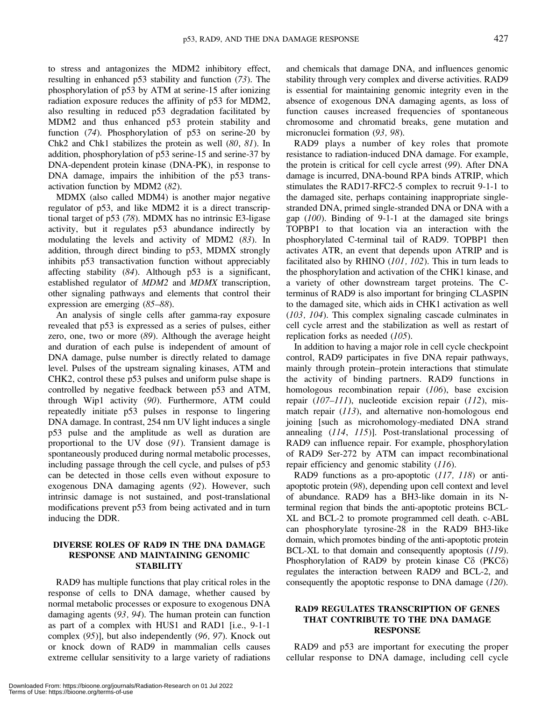to stress and antagonizes the MDM2 inhibitory effect, resulting in enhanced p53 stability and function (73). The phosphorylation of p53 by ATM at serine-15 after ionizing radiation exposure reduces the affinity of p53 for MDM2, also resulting in reduced p53 degradation facilitated by MDM2 and thus enhanced p53 protein stability and function (74). Phosphorylation of p53 on serine-20 by Chk2 and Chk1 stabilizes the protein as well (80, 81). In addition, phosphorylation of p53 serine-15 and serine-37 by DNA-dependent protein kinase (DNA-PK), in response to DNA damage, impairs the inhibition of the p53 transactivation function by MDM2 (82).

MDMX (also called MDM4) is another major negative regulator of p53, and like MDM2 it is a direct transcriptional target of p53 (78). MDMX has no intrinsic E3-ligase activity, but it regulates p53 abundance indirectly by modulating the levels and activity of MDM2 (83). In addition, through direct binding to p53, MDMX strongly inhibits p53 transactivation function without appreciably affecting stability (84). Although p53 is a significant, established regulator of MDM2 and MDMX transcription, other signaling pathways and elements that control their expression are emerging (85–88).

An analysis of single cells after gamma-ray exposure revealed that p53 is expressed as a series of pulses, either zero, one, two or more (89). Although the average height and duration of each pulse is independent of amount of DNA damage, pulse number is directly related to damage level. Pulses of the upstream signaling kinases, ATM and CHK2, control these p53 pulses and uniform pulse shape is controlled by negative feedback between p53 and ATM, through Wip1 activity (90). Furthermore, ATM could repeatedly initiate p53 pulses in response to lingering DNA damage. In contrast, 254 nm UV light induces a single p53 pulse and the amplitude as well as duration are proportional to the UV dose (91). Transient damage is spontaneously produced during normal metabolic processes, including passage through the cell cycle, and pulses of p53 can be detected in those cells even without exposure to exogenous DNA damaging agents (92). However, such intrinsic damage is not sustained, and post-translational modifications prevent p53 from being activated and in turn inducing the DDR.

## DIVERSE ROLES OF RAD9 IN THE DNA DAMAGE RESPONSE AND MAINTAINING GENOMIC **STABILITY**

RAD9 has multiple functions that play critical roles in the response of cells to DNA damage, whether caused by normal metabolic processes or exposure to exogenous DNA damaging agents (93, 94). The human protein can function as part of a complex with HUS1 and RAD1 [i.e., 9-1-1 complex (95)], but also independently (96, 97). Knock out or knock down of RAD9 in mammalian cells causes extreme cellular sensitivity to a large variety of radiations and chemicals that damage DNA, and influences genomic stability through very complex and diverse activities. RAD9 is essential for maintaining genomic integrity even in the absence of exogenous DNA damaging agents, as loss of function causes increased frequencies of spontaneous chromosome and chromatid breaks, gene mutation and micronuclei formation (93, 98).

RAD9 plays a number of key roles that promote resistance to radiation-induced DNA damage. For example, the protein is critical for cell cycle arrest (99). After DNA damage is incurred, DNA-bound RPA binds ATRIP, which stimulates the RAD17-RFC2-5 complex to recruit 9-1-1 to the damaged site, perhaps containing inappropriate singlestranded DNA, primed single-stranded DNA or DNA with a gap (100). Binding of 9-1-1 at the damaged site brings TOPBP1 to that location via an interaction with the phosphorylated C-terminal tail of RAD9. TOPBP1 then activates ATR, an event that depends upon ATRIP and is facilitated also by RHINO (101, 102). This in turn leads to the phosphorylation and activation of the CHK1 kinase, and a variety of other downstream target proteins. The Cterminus of RAD9 is also important for bringing CLASPIN to the damaged site, which aids in CHK1 activation as well (103, 104). This complex signaling cascade culminates in cell cycle arrest and the stabilization as well as restart of replication forks as needed (105).

In addition to having a major role in cell cycle checkpoint control, RAD9 participates in five DNA repair pathways, mainly through protein–protein interactions that stimulate the activity of binding partners. RAD9 functions in homologous recombination repair (106), base excision repair  $(107–111)$ , nucleotide excision repair  $(112)$ , mismatch repair (113), and alternative non-homologous end joining [such as microhomology-mediated DNA strand annealing (114, 115)]. Post-translational processing of RAD9 can influence repair. For example, phosphorylation of RAD9 Ser-272 by ATM can impact recombinational repair efficiency and genomic stability (116).

RAD9 functions as a pro-apoptotic (117, 118) or antiapoptotic protein (98), depending upon cell context and level of abundance. RAD9 has a BH3-like domain in its Nterminal region that binds the anti-apoptotic proteins BCL-XL and BCL-2 to promote programmed cell death. c-ABL can phosphorylate tyrosine-28 in the RAD9 BH3-like domain, which promotes binding of the anti-apoptotic protein BCL-XL to that domain and consequently apoptosis (119). Phosphorylation of RAD9 by protein kinase  $C\delta$  (PKC $\delta$ ) regulates the interaction between RAD9 and BCL-2, and consequently the apoptotic response to DNA damage (120).

## RAD9 REGULATES TRANSCRIPTION OF GENES THAT CONTRIBUTE TO THE DNA DAMAGE RESPONSE

RAD9 and p53 are important for executing the proper cellular response to DNA damage, including cell cycle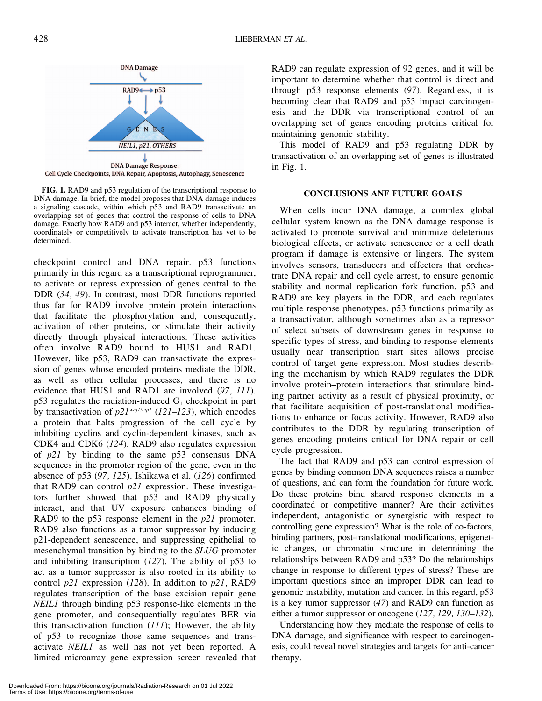

Cell Cycle Checkpoints, DNA Repair, Apoptosis, Autophagy, Senescence

FIG. 1. RAD9 and p53 regulation of the transcriptional response to DNA damage. In brief, the model proposes that DNA damage induces a signaling cascade, within which p53 and RAD9 transactivate an overlapping set of genes that control the response of cells to DNA damage. Exactly how RAD9 and p53 interact, whether independently, coordinately or competitively to activate transcription has yet to be determined.

checkpoint control and DNA repair. p53 functions primarily in this regard as a transcriptional reprogrammer, to activate or repress expression of genes central to the DDR (34, 49). In contrast, most DDR functions reported thus far for RAD9 involve protein–protein interactions that facilitate the phosphorylation and, consequently, activation of other proteins, or stimulate their activity directly through physical interactions. These activities often involve RAD9 bound to HUS1 and RAD1. However, like p53, RAD9 can transactivate the expression of genes whose encoded proteins mediate the DDR, as well as other cellular processes, and there is no evidence that HUS1 and RAD1 are involved (97, 111).  $p53$  regulates the radiation-induced  $G_1$  checkpoint in part by transactivation of  $p21^{\text{waf1/cip1}}$  (121–123), which encodes a protein that halts progression of the cell cycle by inhibiting cyclins and cyclin-dependent kinases, such as CDK4 and CDK6 (124). RAD9 also regulates expression of p21 by binding to the same p53 consensus DNA sequences in the promoter region of the gene, even in the absence of p53 (97, 125). Ishikawa et al. (126) confirmed that RAD9 can control  $p21$  expression. These investigators further showed that p53 and RAD9 physically interact, and that UV exposure enhances binding of RAD9 to the p53 response element in the p21 promoter. RAD9 also functions as a tumor suppressor by inducing p21-dependent senescence, and suppressing epithelial to mesenchymal transition by binding to the SLUG promoter and inhibiting transcription (127). The ability of p53 to act as a tumor suppressor is also rooted in its ability to control  $p21$  expression (128). In addition to  $p21$ , RAD9 regulates transcription of the base excision repair gene NEIL1 through binding p53 response-like elements in the gene promoter, and consequentially regulates BER via this transactivation function  $(111)$ ; However, the ability of p53 to recognize those same sequences and transactivate NEIL1 as well has not yet been reported. A limited microarray gene expression screen revealed that

RAD9 can regulate expression of 92 genes, and it will be important to determine whether that control is direct and through p53 response elements (97). Regardless, it is becoming clear that RAD9 and p53 impact carcinogenesis and the DDR via transcriptional control of an overlapping set of genes encoding proteins critical for maintaining genomic stability.

This model of RAD9 and p53 regulating DDR by transactivation of an overlapping set of genes is illustrated in Fig. 1.

#### CONCLUSIONS ANF FUTURE GOALS

When cells incur DNA damage, a complex global cellular system known as the DNA damage response is activated to promote survival and minimize deleterious biological effects, or activate senescence or a cell death program if damage is extensive or lingers. The system involves sensors, transducers and effectors that orchestrate DNA repair and cell cycle arrest, to ensure genomic stability and normal replication fork function. p53 and RAD9 are key players in the DDR, and each regulates multiple response phenotypes. p53 functions primarily as a transactivator, although sometimes also as a repressor of select subsets of downstream genes in response to specific types of stress, and binding to response elements usually near transcription start sites allows precise control of target gene expression. Most studies describing the mechanism by which RAD9 regulates the DDR involve protein–protein interactions that stimulate binding partner activity as a result of physical proximity, or that facilitate acquisition of post-translational modifications to enhance or focus activity. However, RAD9 also contributes to the DDR by regulating transcription of genes encoding proteins critical for DNA repair or cell cycle progression.

The fact that RAD9 and p53 can control expression of genes by binding common DNA sequences raises a number of questions, and can form the foundation for future work. Do these proteins bind shared response elements in a coordinated or competitive manner? Are their activities independent, antagonistic or synergistic with respect to controlling gene expression? What is the role of co-factors, binding partners, post-translational modifications, epigenetic changes, or chromatin structure in determining the relationships between RAD9 and p53? Do the relationships change in response to different types of stress? These are important questions since an improper DDR can lead to genomic instability, mutation and cancer. In this regard, p53 is a key tumor suppressor (47) and RAD9 can function as either a tumor suppressor or oncogene (127, 129, 130–132).

Understanding how they mediate the response of cells to DNA damage, and significance with respect to carcinogenesis, could reveal novel strategies and targets for anti-cancer therapy.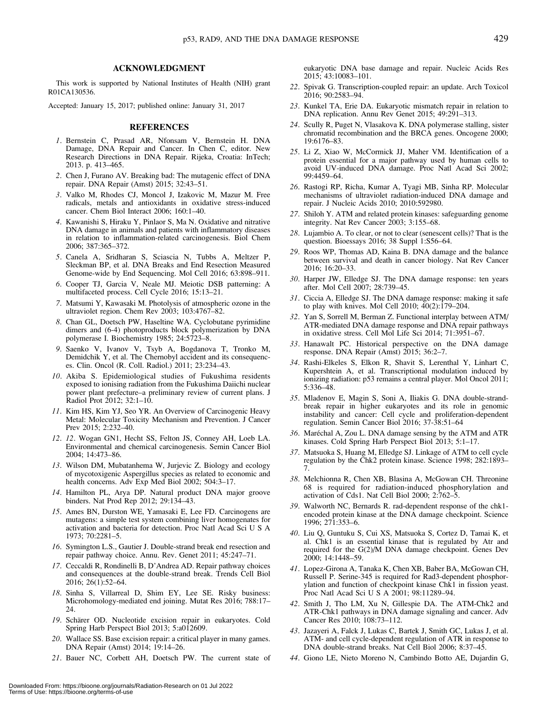#### ACKNOWLEDGMENT

This work is supported by National Institutes of Health (NIH) grant R01CA130536.

Accepted: January 15, 2017; published online: January 31, 2017

#### REFERENCES

- 1. Bernstein C, Prasad AR, Nfonsam V, Bernstein H. DNA Damage, DNA Repair and Cancer. In Chen C, editor. New Research Directions in DNA Repair. Rijeka, Croatia: InTech; 2013. p. 413–465.
- 2. Chen J, Furano AV. Breaking bad: The mutagenic effect of DNA repair. DNA Repair (Amst) 2015; 32:43–51.
- 3. Valko M, Rhodes CJ, Moncol J, Izakovic M, Mazur M. Free radicals, metals and antioxidants in oxidative stress-induced cancer. Chem Biol Interact 2006; 160:1–40.
- 4. Kawanishi S, Hiraku Y, Pinlaor S, Ma N. Oxidative and nitrative DNA damage in animals and patients with inflammatory diseases in relation to inflammation-related carcinogenesis. Biol Chem 2006; 387:365–372.
- 5. Canela A, Sridharan S, Sciascia N, Tubbs A, Meltzer P, Sleckman BP, et al. DNA Breaks and End Resection Measured Genome-wide by End Sequencing. Mol Cell 2016; 63:898–911.
- 6. Cooper TJ, Garcia V, Neale MJ. Meiotic DSB patterning: A multifaceted process. Cell Cycle 2016; 15:13–21.
- 7. Matsumi Y, Kawasaki M. Photolysis of atmospheric ozone in the ultraviolet region. Chem Rev 2003; 103:4767–82.
- 8. Chan GL, Doetsch PW, Haseltine WA. Cyclobutane pyrimidine dimers and (6-4) photoproducts block polymerization by DNA polymerase I. Biochemistry 1985; 24:5723–8.
- 9. Saenko V, Ivanov V, Tsyb A, Bogdanova T, Tronko M, Demidchik Y, et al. The Chernobyl accident and its consequences. Clin. Oncol (R. Coll. Radiol.) 2011; 23:234–43.
- 10. Akiba S. Epidemiological studies of Fukushima residents exposed to ionising radiation from the Fukushima Daiichi nuclear power plant prefecture–a preliminary review of current plans. J Radiol Prot 2012; 32:1–10.
- 11. Kim HS, Kim YJ, Seo YR. An Overview of Carcinogenic Heavy Metal: Molecular Toxicity Mechanism and Prevention. J Cancer Prev 2015; 2:232–40.
- 12. 12. Wogan GN1, Hecht SS, Felton JS, Conney AH, Loeb LA. Environmental and chemical carcinogenesis. Semin Cancer Biol 2004; 14:473–86.
- 13. Wilson DM, Mubatanhema W, Jurjevic Z. Biology and ecology of mycotoxigenic Aspergillus species as related to economic and health concerns. Adv Exp Med Biol 2002; 504:3–17.
- 14. Hamilton PL, Arya DP. Natural product DNA major groove binders. Nat Prod Rep 2012; 29:134–43.
- 15. Ames BN, Durston WE, Yamasaki E, Lee FD. Carcinogens are mutagens: a simple test system combining liver homogenates for activation and bacteria for detection. Proc Natl Acad Sci U S A 1973; 70:2281–5.
- 16. Symington L.S., Gautier J. Double-strand break end resection and repair pathway choice. Annu. Rev. Genet 2011; 45:247–71.
- 17. Ceccaldi R, Rondinelli B, D'Andrea AD. Repair pathway choices and consequences at the double-strand break. Trends Cell Biol 2016; 26(1):52–64.
- 18. Sinha S, Villarreal D, Shim EY, Lee SE. Risky business: Microhomology-mediated end joining. Mutat Res 2016; 788:17– 24.
- 19. Schärer OD. Nucleotide excision repair in eukaryotes. Cold Spring Harb Perspect Biol 2013; 5:a012609.
- 20. Wallace SS. Base excision repair: a critical player in many games. DNA Repair (Amst) 2014; 19:14–26.
- 21. Bauer NC, Corbett AH, Doetsch PW. The current state of

eukaryotic DNA base damage and repair. Nucleic Acids Res 2015; 43:10083–101.

- 22. Spivak G. Transcription-coupled repair: an update. Arch Toxicol 2016; 90:2583–94.
- 23. Kunkel TA, Erie DA. Eukaryotic mismatch repair in relation to DNA replication. Annu Rev Genet 2015; 49:291–313.
- 24. Scully R, Puget N, Vlasakova K. DNA polymerase stalling, sister chromatid recombination and the BRCA genes. Oncogene 2000; 19:6176–83.
- 25. Li Z, Xiao W, McCormick JJ, Maher VM. Identification of a protein essential for a major pathway used by human cells to avoid UV-induced DNA damage. Proc Natl Acad Sci 2002; 99:4459–64.
- 26. Rastogi RP, Richa, Kumar A, Tyagi MB, Sinha RP. Molecular mechanisms of ultraviolet radiation-induced DNA damage and repair. J Nucleic Acids 2010; 2010:592980.
- 27. Shiloh Y. ATM and related protein kinases: safeguarding genome integrity. Nat Rev Cancer 2003; 3:155–68.
- 28. Lujambio A. To clear, or not to clear (senescent cells)? That is the question. Bioessays 2016; 38 Suppl 1:S56–64.
- 29. Roos WP, Thomas AD, Kaina B. DNA damage and the balance between survival and death in cancer biology. Nat Rev Cancer 2016; 16:20–33.
- 30. Harper JW, Elledge SJ. The DNA damage response: ten years after. Mol Cell 2007; 28:739–45.
- 31. Ciccia A, Elledge SJ. The DNA damage response: making it safe to play with knives. Mol Cell 2010;  $40(2)$ :179–204.
- 32. Yan S, Sorrell M, Berman Z. Functional interplay between ATM/ ATR-mediated DNA damage response and DNA repair pathways in oxidative stress. Cell Mol Life Sci 2014; 71:3951–67.
- 33. Hanawalt PC. Historical perspective on the DNA damage response. DNA Repair (Amst) 2015; 36:2–7.
- 34. Rashi-Elkeles S, Elkon R, Shavit S, Lerenthal Y, Linhart C, Kupershtein A, et al. Transcriptional modulation induced by ionizing radiation: p53 remains a central player. Mol Oncol 2011; 5:336–48.
- 35. Mladenov E, Magin S, Soni A, Iliakis G. DNA double-strandbreak repair in higher eukaryotes and its role in genomic instability and cancer: Cell cycle and proliferation-dependent regulation. Semin Cancer Biol 2016; 37-38:51–64
- 36. Maréchal A, Zou L. DNA damage sensing by the ATM and ATR kinases. Cold Spring Harb Perspect Biol 2013; 5:1–17.
- 37. Matsuoka S, Huang M, Elledge SJ. Linkage of ATM to cell cycle regulation by the Chk2 protein kinase. Science 1998; 282:1893– 7.
- 38. Melchionna R, Chen XB, Blasina A, McGowan CH. Threonine 68 is required for radiation-induced phosphorylation and activation of Cds1. Nat Cell Biol 2000; 2:762–5.
- 39. Walworth NC, Bernards R. rad-dependent response of the chk1 encoded protein kinase at the DNA damage checkpoint. Science 1996; 271:353–6.
- 40. Liu Q, Guntuku S, Cui XS, Matsuoka S, Cortez D, Tamai K, et al. Chk1 is an essential kinase that is regulated by Atr and required for the G(2)/M DNA damage checkpoint. Genes Dev 2000; 14:1448–59.
- 41. Lopez-Girona A, Tanaka K, Chen XB, Baber BA, McGowan CH, Russell P. Serine-345 is required for Rad3-dependent phosphorylation and function of checkpoint kinase Chk1 in fission yeast. Proc Natl Acad Sci U S A 2001; 98:11289-94.
- 42. Smith J, Tho LM, Xu N, Gillespie DA. The ATM-Chk2 and ATR-Chk1 pathways in DNA damage signaling and cancer. Adv Cancer Res 2010; 108:73–112.
- 43. Jazayeri A, Falck J, Lukas C, Bartek J, Smith GC, Lukas J, et al. ATM- and cell cycle-dependent regulation of ATR in response to DNA double-strand breaks. Nat Cell Biol 2006; 8:37–45.
- 44. Giono LE, Nieto Moreno N, Cambindo Botto AE, Dujardin G,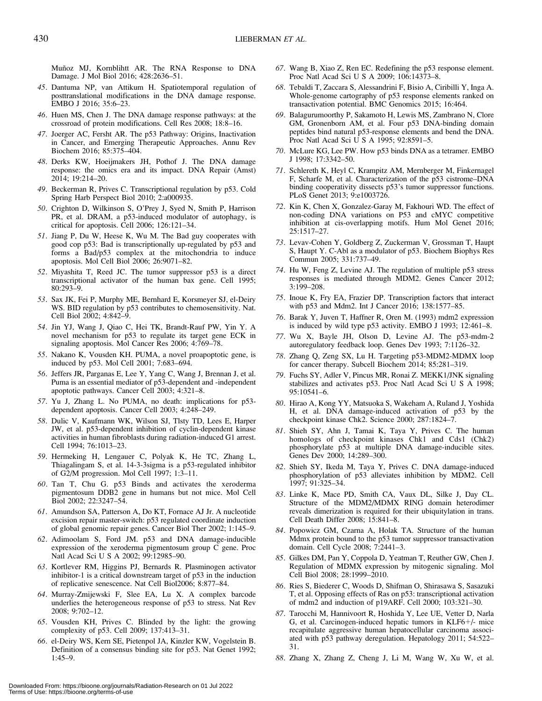Muñoz MJ, Kornblihtt AR. The RNA Response to DNA Damage. J Mol Biol 2016; 428:2636–51.

- 45. Dantuma NP, van Attikum H. Spatiotemporal regulation of posttranslational modifications in the DNA damage response. EMBO J 2016; 35:6–23.
- 46. Huen MS, Chen J. The DNA damage response pathways: at the crossroad of protein modifications. Cell Res 2008; 18:8–16.
- 47. Joerger AC, Fersht AR. The p53 Pathway: Origins, Inactivation in Cancer, and Emerging Therapeutic Approaches. Annu Rev Biochem 2016; 85:375–404.
- 48. Derks KW, Hoeijmakers JH, Pothof J. The DNA damage response: the omics era and its impact. DNA Repair (Amst) 2014; 19:214–20.
- 49. Beckerman R, Prives C. Transcriptional regulation by p53. Cold Spring Harb Perspect Biol 2010; 2:a000935.
- 50. Crighton D, Wilkinson S, O'Prey J, Syed N, Smith P, Harrison PR, et al. DRAM, a p53-induced modulator of autophagy, is critical for apoptosis. Cell 2006; 126:121–34.
- 51. Jiang P, Du W, Heese K, Wu M. The Bad guy cooperates with good cop p53: Bad is transcriptionally up-regulated by p53 and forms a Bad/p53 complex at the mitochondria to induce apoptosis. Mol Cell Biol 2006; 26:9071–82.
- 52. Miyashita T, Reed JC. The tumor suppressor p53 is a direct transcriptional activator of the human bax gene. Cell 1995; 80:293–9.
- 53. Sax JK, Fei P, Murphy ME, Bernhard E, Korsmeyer SJ, el-Deiry WS. BID regulation by p53 contributes to chemosensitivity. Nat. Cell Biol 2002; 4:842–9.
- 54. Jin YJ, Wang J, Qiao C, Hei TK, Brandt-Rauf PW, Yin Y. A novel mechanism for p53 to regulate its target gene ECK in signaling apoptosis. Mol Cancer Res 2006; 4:769–78.
- 55. Nakano K, Vousden KH. PUMA, a novel proapoptotic gene, is induced by p53. Mol Cell 2001; 7:683–694.
- 56. Jeffers JR, Parganas E, Lee Y, Yang C, Wang J, Brennan J, et al. Puma is an essential mediator of p53-dependent and -independent apoptotic pathways. Cancer Cell 2003; 4:321–8.
- 57. Yu J, Zhang L. No PUMA, no death: implications for p53 dependent apoptosis. Cancer Cell 2003; 4:248–249.
- 58. Dulic V, Kaufmann WK, Wilson SJ, Tlsty TD, Lees E, Harper JW, et al. p53-dependent inhibition of cyclin-dependent kinase activities in human fibroblasts during radiation-induced G1 arrest. Cell 1994; 76:1013–23.
- 59. Hermeking H, Lengauer C, Polyak K, He TC, Zhang L, Thiagalingam S, et al. 14-3-3sigma is a p53-regulated inhibitor of G2/M progression. Mol Cell 1997; 1:3–11.
- 60. Tan T, Chu G. p53 Binds and activates the xeroderma pigmentosum DDB2 gene in humans but not mice. Mol Cell Biol 2002; 22:3247–54.
- 61. Amundson SA, Patterson A, Do KT, Fornace AJ Jr. A nucleotide excision repair master-switch: p53 regulated coordinate induction of global genomic repair genes. Cancer Biol Ther 2002; 1:145–9.
- 62. Adimoolam S, Ford JM. p53 and DNA damage-inducible expression of the xeroderma pigmentosum group C gene. Proc Natl Acad Sci U S A 2002; 99:12985–90.
- 63. Kortlever RM, Higgins PJ, Bernards R. Plasminogen activator inhibitor-1 is a critical downstream target of p53 in the induction of replicative senescence. Nat Cell Biol2006; 8:877–84.
- 64. Murray-Zmijewski F, Slee EA, Lu X. A complex barcode underlies the heterogeneous response of p53 to stress. Nat Rev 2008; 9:702–12.
- 65. Vousden KH, Prives C. Blinded by the light: the growing complexity of p53. Cell 2009; 137:413–31.
- 66. el-Deiry WS, Kern SE, Pietenpol JA, Kinzler KW, Vogelstein B. Definition of a consensus binding site for p53. Nat Genet 1992; 1:45–9.
- 67. Wang B, Xiao Z, Ren EC. Redefining the p53 response element. Proc Natl Acad Sci U S A 2009; 106:14373–8.
- 68. Tebaldi T, Zaccara S, Alessandrini F, Bisio A, Ciribilli Y, Inga A. Whole-genome cartography of p53 response elements ranked on transactivation potential. BMC Genomics 2015; 16:464.
- 69. Balagurumoorthy P, Sakamoto H, Lewis MS, Zambrano N, Clore GM, Gronenborn AM, et al. Four p53 DNA-binding domain peptides bind natural p53-response elements and bend the DNA. Proc Natl Acad Sci U S A 1995; 92:8591–5.
- 70. McLure KG, Lee PW. How p53 binds DNA as a tetramer. EMBO J 1998; 17:3342–50.
- 71. Schlereth K, Heyl C, Krampitz AM, Mernberger M, Finkernagel F, Scharfe M, et al. Characterization of the p53 cistrome–DNA binding cooperativity dissects p53's tumor suppressor functions. PLoS Genet 2013; 9:e1003726.
- 72. Kin K, Chen X, Gonzalez-Garay M, Fakhouri WD. The effect of non-coding DNA variations on P53 and cMYC competitive inhibition at cis-overlapping motifs. Hum Mol Genet 2016; 25:1517–27.
- 73. Levav-Cohen Y, Goldberg Z, Zuckerman V, Grossman T, Haupt S, Haupt Y. C-Abl as a modulator of p53. Biochem Biophys Res Commun 2005; 331:737–49.
- 74. Hu W, Feng Z, Levine AJ. The regulation of multiple p53 stress responses is mediated through MDM2. Genes Cancer 2012; 3:199–208.
- 75. Inoue K, Fry EA, Frazier DP. Transcription factors that interact with p53 and Mdm2. Int J Cancer 2016; 138:1577–85.
- 76. Barak Y, Juven T, Haffner R, Oren M. (1993) mdm2 expression is induced by wild type p53 activity. EMBO J 1993; 12:461–8.
- 77. Wu X, Bayle JH, Olson D, Levine AJ. The p53-mdm-2 autoregulatory feedback loop. Genes Dev 1993; 7:1126–32.
- 78. Zhang Q, Zeng SX, Lu H. Targeting p53-MDM2-MDMX loop for cancer therapy. Subcell Biochem 2014; 85:281–319.
- 79. Fuchs SY, Adler V, Pincus MR, Ronai Z. MEKK1/JNK signaling stabilizes and activates p53. Proc Natl Acad Sci U S A 1998; 95:10541–6.
- 80. Hirao A, Kong YY, Matsuoka S, Wakeham A, Ruland J, Yoshida H, et al. DNA damage-induced activation of p53 by the checkpoint kinase Chk2. Science 2000; 287:1824–7.
- 81. Shieh SY, Ahn J, Tamai K, Taya Y, Prives C. The human homologs of checkpoint kinases Chk1 and Cds1 (Chk2) phosphorylate p53 at multiple DNA damage-inducible sites. Genes Dev 2000; 14:289–300.
- 82. Shieh SY, Ikeda M, Taya Y, Prives C. DNA damage-induced phosphorylation of p53 alleviates inhibition by MDM2. Cell 1997; 91:325–34.
- 83. Linke K, Mace PD, Smith CA, Vaux DL, Silke J, Day CL. Structure of the MDM2/MDMX RING domain heterodimer reveals dimerization is required for their ubiquitylation in trans. Cell Death Differ 2008; 15:841–8.
- 84. Popowicz GM, Czarna A, Holak TA. Structure of the human Mdmx protein bound to the p53 tumor suppressor transactivation domain. Cell Cycle 2008; 7:2441–3.
- 85. Gilkes DM, Pan Y, Coppola D, Yeatman T, Reuther GW, Chen J. Regulation of MDMX expression by mitogenic signaling. Mol Cell Biol 2008; 28:1999–2010.
- 86. Ries S, Biederer C, Woods D, Shifman O, Shirasawa S, Sasazuki T, et al. Opposing effects of Ras on p53: transcriptional activation of mdm2 and induction of p19ARF. Cell 2000; 103:321–30.
- 87. Tarocchi M, Hannivoort R, Hoshida Y, Lee UE, Vetter D, Narla G, et al. Carcinogen-induced hepatic tumors in KLF6+/- mice recapitulate aggressive human hepatocellular carcinoma associated with p53 pathway deregulation. Hepatology 2011; 54:522– 31.
- 88. Zhang X, Zhang Z, Cheng J, Li M, Wang W, Xu W, et al.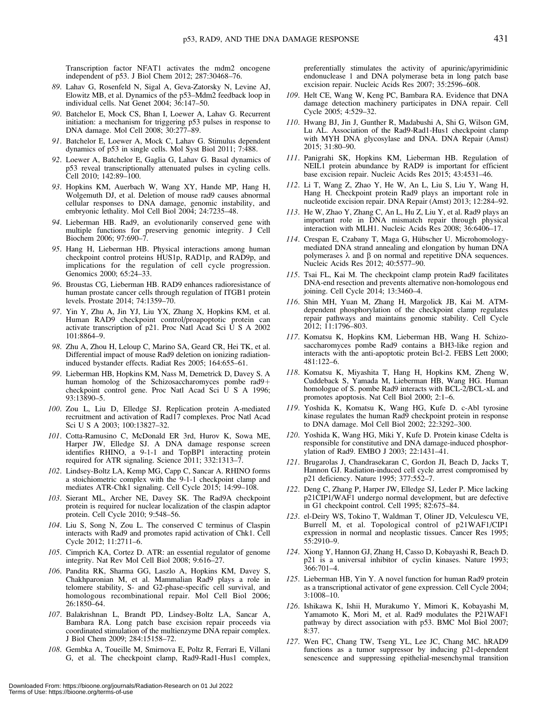Transcription factor NFAT1 activates the mdm2 oncogene independent of p53. J Biol Chem 2012; 287:30468–76.

- 89. Lahav G, Rosenfeld N, Sigal A, Geva-Zatorsky N, Levine AJ, Elowitz MB, et al. Dynamics of the p53–Mdm2 feedback loop in individual cells. Nat Genet 2004; 36:147–50.
- 90. Batchelor E, Mock CS, Bhan I, Loewer A, Lahav G. Recurrent initiation: a mechanism for triggering p53 pulses in response to DNA damage. Mol Cell 2008; 30:277–89.
- 91. Batchelor E, Loewer A, Mock C, Lahav G. Stimulus dependent dynamics of p53 in single cells. Mol Syst Biol 2011; 7:488.
- 92. Loewer A, Batchelor E, Gaglia G, Lahav G. Basal dynamics of p53 reveal transcriptionally attenuated pulses in cycling cells. Cell 2010; 142:89–100.
- 93. Hopkins KM, Auerbach W, Wang XY, Hande MP, Hang H, Wolgemuth DJ, et al. Deletion of mouse rad9 causes abnormal cellular responses to DNA damage, genomic instability, and embryonic lethality. Mol Cell Biol 2004; 24:7235–48.
- 94. Lieberman HB. Rad9, an evolutionarily conserved gene with multiple functions for preserving genomic integrity. J Cell Biochem 2006; 97:690–7.
- 95. Hang H, Lieberman HB. Physical interactions among human checkpoint control proteins HUS1p, RAD1p, and RAD9p, and implications for the regulation of cell cycle progression. Genomics 2000; 65:24–33.
- 96. Broustas CG, Lieberman HB. RAD9 enhances radioresistance of human prostate cancer cells through regulation of ITGB1 protein levels. Prostate 2014; 74:1359–70.
- 97. Yin Y, Zhu A, Jin YJ, Liu YX, Zhang X, Hopkins KM, et al. Human RAD9 checkpoint control/proapoptotic protein can activate transcription of p21. Proc Natl Acad Sci U S A 2002 101:8864–9.
- 98. Zhu A, Zhou H, Leloup C, Marino SA, Geard CR, Hei TK, et al. Differential impact of mouse Rad9 deletion on ionizing radiationinduced bystander effects. Radiat Res 2005; 164:655–61.
- 99. Lieberman HB, Hopkins KM, Nass M, Demetrick D, Davey S. A human homolog of the Schizosaccharomyces pombe  $rad9+$ checkpoint control gene. Proc Natl Acad Sci U S A 1996; 93:13890–5.
- 100. Zou L, Liu D, Elledge SJ. Replication protein A-mediated recruitment and activation of Rad17 complexes. Proc Natl Acad Sci U S A 2003; 100:13827–32.
- 101. Cotta-Ramusino C, McDonald ER 3rd, Hurov K, Sowa ME, Harper JW, Elledge SJ. A DNA damage response screen identifies RHINO, a 9-1-1 and TopBP1 interacting protein required for ATR signaling. Science 2011; 332:1313–7.
- 102. Lindsey-Boltz LA, Kemp MG, Capp C, Sancar A. RHINO forms a stoichiometric complex with the 9-1-1 checkpoint clamp and mediates ATR-Chk1 signaling. Cell Cycle 2015; 14:99–108.
- 103. Sierant ML, Archer NE, Davey SK. The Rad9A checkpoint protein is required for nuclear localization of the claspin adaptor protein. Cell Cycle 2010; 9:548–56.
- 104. Liu S, Song N, Zou L. The conserved C terminus of Claspin interacts with Rad9 and promotes rapid activation of Chk1. Cell Cycle 2012; 11:2711–6.
- 105. Cimprich KA, Cortez D. ATR: an essential regulator of genome integrity. Nat Rev Mol Cell Biol 2008; 9:616–27.
- 106. Pandita RK, Sharma GG, Laszlo A, Hopkins KM, Davey S, Chakhparonian M, et al. Mammalian Rad9 plays a role in telomere stability, S- and G2-phase-specific cell survival, and homologous recombinational repair. Mol Cell Biol 2006; 26:1850–64.
- 107. Balakrishnan L, Brandt PD, Lindsey-Boltz LA, Sancar A, Bambara RA. Long patch base excision repair proceeds via coordinated stimulation of the multienzyme DNA repair complex. J Biol Chem 2009; 284:15158–72.
- 108. Gembka A, Toueille M, Smirnova E, Poltz R, Ferrari E, Villani G, et al. The checkpoint clamp, Rad9-Rad1-Hus1 complex,

preferentially stimulates the activity of apurinic/apyrimidinic endonuclease 1 and DNA polymerase beta in long patch base excision repair. Nucleic Acids Res 2007; 35:2596–608.

- 109. Helt CE, Wang W, Keng PC, Bambara RA. Evidence that DNA damage detection machinery participates in DNA repair. Cell Cycle 2005; 4:529–32.
- 110. Hwang BJ, Jin J, Gunther R, Madabushi A, Shi G, Wilson GM, Lu AL. Association of the Rad9-Rad1-Hus1 checkpoint clamp with MYH DNA glycosylase and DNA. DNA Repair (Amst) 2015; 31:80–90.
- 111. Panigrahi SK, Hopkins KM, Lieberman HB. Regulation of NEIL1 protein abundance by RAD9 is important for efficient base excision repair. Nucleic Acids Res 2015; 43:4531–46.
- 112. Li T, Wang Z, Zhao Y, He W, An L, Liu S, Liu Y, Wang H, Hang H. Checkpoint protein Rad9 plays an important role in nucleotide excision repair. DNA Repair (Amst) 2013; 12:284–92.
- 113. He W, Zhao Y, Zhang C, An L, Hu Z, Liu Y, et al. Rad9 plays an important role in DNA mismatch repair through physical interaction with MLH1. Nucleic Acids Res 2008; 36:6406–17.
- 114. Crespan E, Czabany T, Maga G, Hübscher U. Microhomologymediated DNA strand annealing and elongation by human DNA polymerases  $\lambda$  and  $\beta$  on normal and repetitive DNA sequences. Nucleic Acids Res 2012; 40:5577–90.
- 115. Tsai FL, Kai M. The checkpoint clamp protein Rad9 facilitates DNA-end resection and prevents alternative non-homologous end joining. Cell Cycle 2014; 13:3460–4.
- 116. Shin MH, Yuan M, Zhang H, Margolick JB, Kai M. ATMdependent phosphorylation of the checkpoint clamp regulates repair pathways and maintains genomic stability. Cell Cycle 2012; 11:1796–803.
- 117. Komatsu K, Hopkins KM, Lieberman HB, Wang H. Schizosaccharomyces pombe Rad9 contains a BH3-like region and interacts with the anti-apoptotic protein Bcl-2. FEBS Lett 2000; 481:122–6.
- 118. Komatsu K, Miyashita T, Hang H, Hopkins KM, Zheng W, Cuddeback S, Yamada M, Lieberman HB, Wang HG. Human homologue of S. pombe Rad9 interacts with BCL-2/BCL-xL and promotes apoptosis. Nat Cell Biol 2000; 2:1–6.
- 119. Yoshida K, Komatsu K, Wang HG, Kufe D. c-Abl tyrosine kinase regulates the human Rad9 checkpoint protein in response to DNA damage. Mol Cell Biol 2002; 22:3292–300.
- 120. Yoshida K, Wang HG, Miki Y, Kufe D. Protein kinase Cdelta is responsible for constitutive and DNA damage-induced phosphorylation of Rad9. EMBO J 2003; 22:1431–41.
- 121. Brugarolas J, Chandrasekaran C, Gordon JI, Beach D, Jacks T, Hannon GJ. Radiation-induced cell cycle arrest compromised by p21 deficiency. Nature 1995; 377:552–7.
- 122. Deng C, Zhang P, Harper JW, Elledge SJ, Leder P. Mice lacking p21CIP1/WAF1 undergo normal development, but are defective in G1 checkpoint control. Cell 1995; 82:675–84.
- 123. el-Deiry WS, Tokino T, Waldman T, Oliner JD, Velculescu VE, Burrell M, et al. Topological control of p21WAF1/CIP1 expression in normal and neoplastic tissues. Cancer Res 1995; 55:2910–9.
- 124. Xiong Y, Hannon GJ, Zhang H, Casso D, Kobayashi R, Beach D. p21 is a universal inhibitor of cyclin kinases. Nature 1993; 366:701–4.
- 125. Lieberman HB, Yin Y. A novel function for human Rad9 protein as a transcriptional activator of gene expression. Cell Cycle 2004; 3:1008–10.
- 126. Ishikawa K, Ishii H, Murakumo Y, Mimori K, Kobayashi M, Yamamoto K, Mori M, et al. Rad9 modulates the P21WAF1 pathway by direct association with p53. BMC Mol Biol 2007; 8:37.
- 127. Wen FC, Chang TW, Tseng YL, Lee JC, Chang MC. hRAD9 functions as a tumor suppressor by inducing p21-dependent senescence and suppressing epithelial-mesenchymal transition